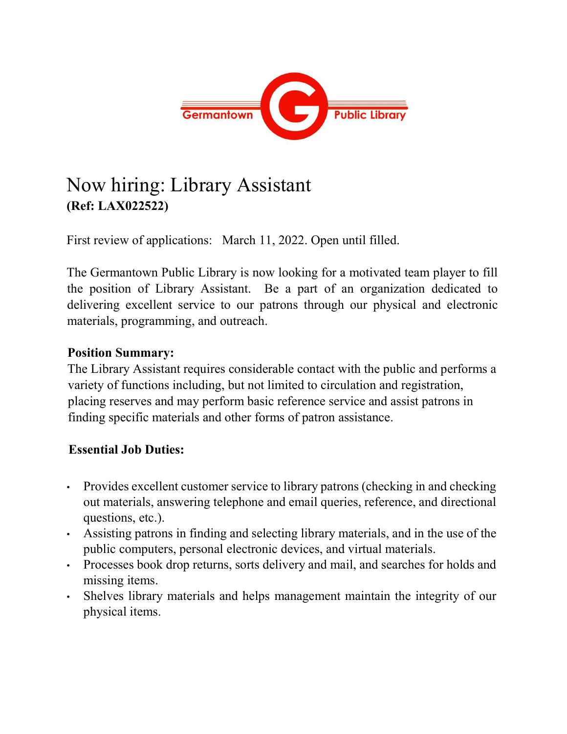

## Now hiring: Library Assistant (Ref: LAX022522)

First review of applications: March 11, 2022. Open until filled.

The Germantown Public Library is now looking for a motivated team player to fill the position of Library Assistant. Be a part of an organization dedicated to delivering excellent service to our patrons through our physical and electronic materials, programming, and outreach.

## Position Summary:

The Library Assistant requires considerable contact with the public and performs a variety of functions including, but not limited to circulation and registration, placing reserves and may perform basic reference service and assist patrons in finding specific materials and other forms of patron assistance.

## Essential Job Duties:

- Provides excellent customer service to library patrons (checking in and checking out materials, answering telephone and email queries, reference, and directional questions, etc.).
- Assisting patrons in finding and selecting library materials, and in the use of the public computers, personal electronic devices, and virtual materials.
- Processes book drop returns, sorts delivery and mail, and searches for holds and missing items.
- Shelves library materials and helps management maintain the integrity of our physical items.